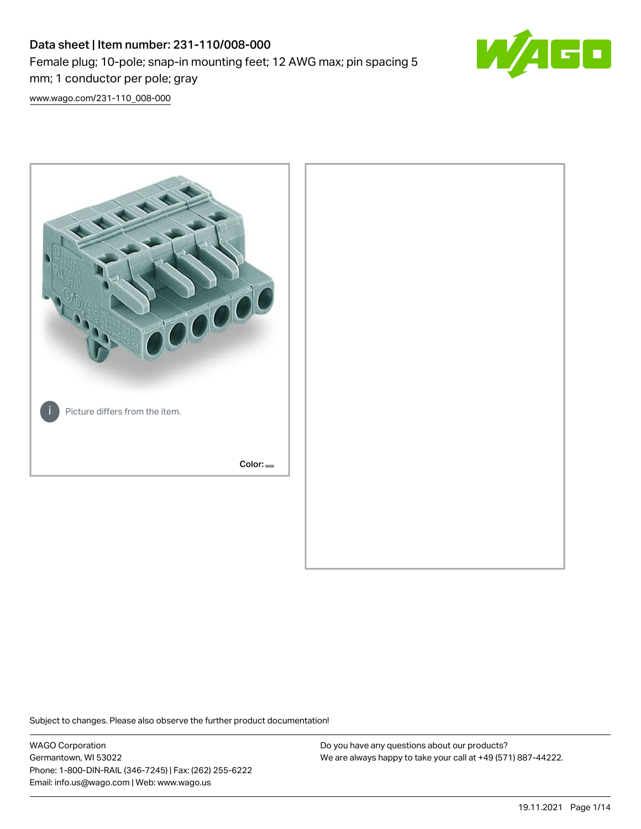# Data sheet | Item number: 231-110/008-000 Female plug; 10-pole; snap-in mounting feet; 12 AWG max; pin spacing 5 mm; 1 conductor per pole; gray



[www.wago.com/231-110\\_008-000](http://www.wago.com/231-110_008-000)



Subject to changes. Please also observe the further product documentation!

WAGO Corporation Germantown, WI 53022 Phone: 1-800-DIN-RAIL (346-7245) | Fax: (262) 255-6222 Email: info.us@wago.com | Web: www.wago.us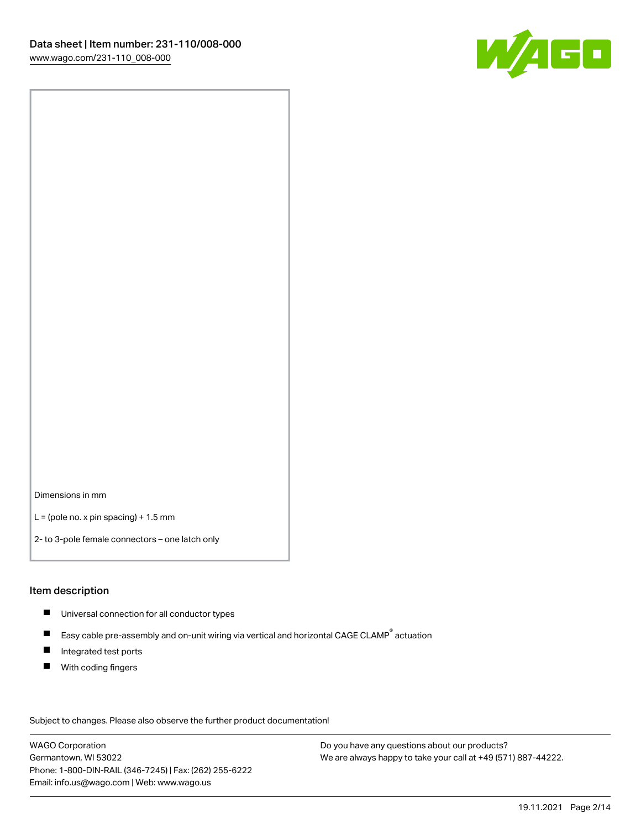

Dimensions in mm

 $L =$  (pole no. x pin spacing) + 1.5 mm

2- to 3-pole female connectors – one latch only

#### Item description

- **Universal connection for all conductor types**
- Easy cable pre-assembly and on-unit wiring via vertical and horizontal CAGE CLAMP<sup>®</sup> actuation  $\blacksquare$
- $\blacksquare$ Integrated test ports
- $\blacksquare$ With coding fingers

Subject to changes. Please also observe the further product documentation! Data

WAGO Corporation Germantown, WI 53022 Phone: 1-800-DIN-RAIL (346-7245) | Fax: (262) 255-6222 Email: info.us@wago.com | Web: www.wago.us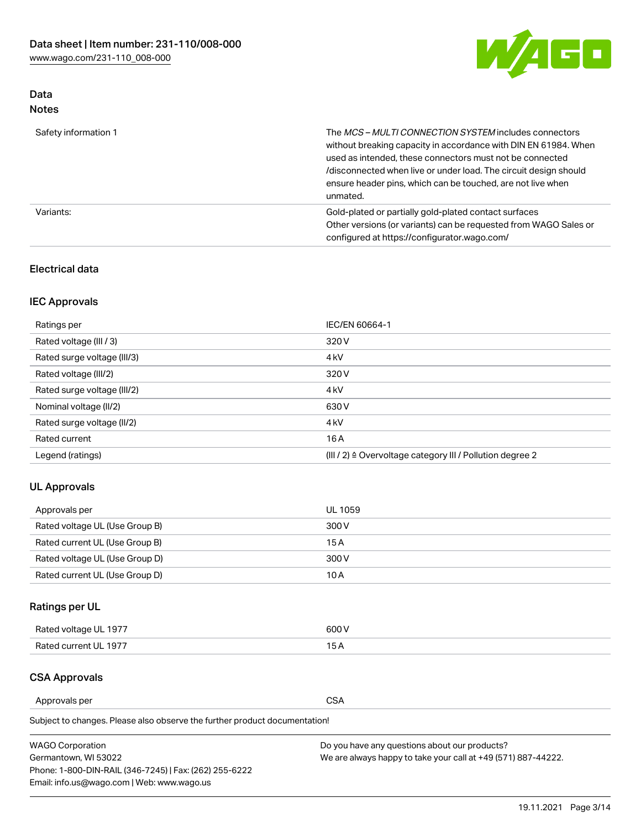

## Data Notes

| Safety information 1 | The MCS-MULTI CONNECTION SYSTEM includes connectors<br>without breaking capacity in accordance with DIN EN 61984. When<br>used as intended, these connectors must not be connected<br>/disconnected when live or under load. The circuit design should<br>ensure header pins, which can be touched, are not live when<br>unmated. |
|----------------------|-----------------------------------------------------------------------------------------------------------------------------------------------------------------------------------------------------------------------------------------------------------------------------------------------------------------------------------|
| Variants:            | Gold-plated or partially gold-plated contact surfaces<br>Other versions (or variants) can be requested from WAGO Sales or<br>configured at https://configurator.wago.com/                                                                                                                                                         |

## Electrical data

## IEC Approvals

| Ratings per                 | IEC/EN 60664-1                                                        |
|-----------------------------|-----------------------------------------------------------------------|
| Rated voltage (III / 3)     | 320 V                                                                 |
| Rated surge voltage (III/3) | 4 <sub>k</sub> V                                                      |
| Rated voltage (III/2)       | 320 V                                                                 |
| Rated surge voltage (III/2) | 4 <sub>k</sub> V                                                      |
| Nominal voltage (II/2)      | 630 V                                                                 |
| Rated surge voltage (II/2)  | 4 <sub>k</sub> V                                                      |
| Rated current               | 16A                                                                   |
| Legend (ratings)            | $(III / 2)$ $\triangle$ Overvoltage category III / Pollution degree 2 |

## UL Approvals

| Approvals per                  | UL 1059 |
|--------------------------------|---------|
| Rated voltage UL (Use Group B) | 300 V   |
| Rated current UL (Use Group B) | 15 A    |
| Rated voltage UL (Use Group D) | 300 V   |
| Rated current UL (Use Group D) | 10 A    |

## Ratings per UL

| Rated voltage UL 1977 | 600 V         |
|-----------------------|---------------|
| Rated current UL 1977 | $\sim$ $\sim$ |

## CSA Approvals

Approvals per CSA

Subject to changes. Please also observe the further product documentation!

| <b>WAGO Corporation</b>                                | Do you have any questions about our products?                 |
|--------------------------------------------------------|---------------------------------------------------------------|
| Germantown, WI 53022                                   | We are always happy to take your call at +49 (571) 887-44222. |
| Phone: 1-800-DIN-RAIL (346-7245)   Fax: (262) 255-6222 |                                                               |
| Email: info.us@wago.com   Web: www.wago.us             |                                                               |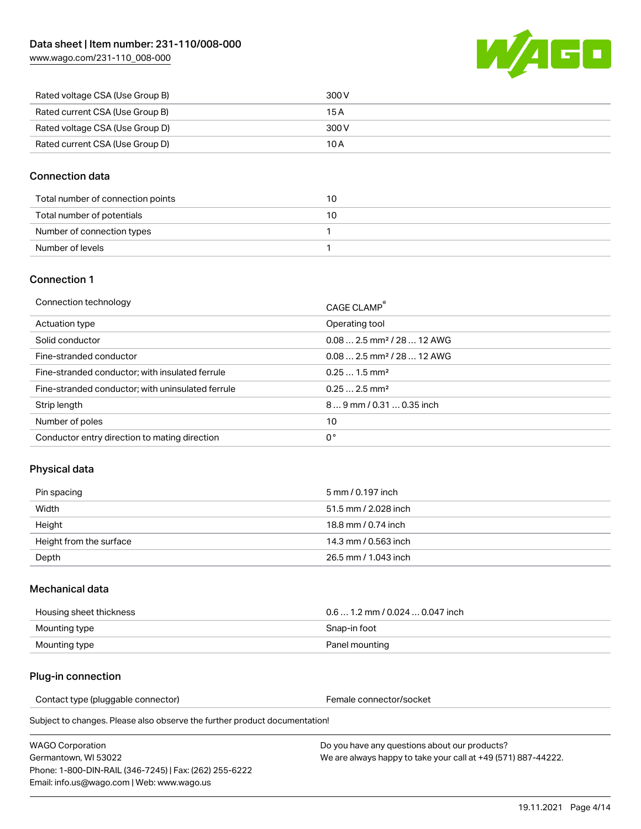[www.wago.com/231-110\\_008-000](http://www.wago.com/231-110_008-000)



| Rated voltage CSA (Use Group B) | 300 V |
|---------------------------------|-------|
| Rated current CSA (Use Group B) | 15 A  |
| Rated voltage CSA (Use Group D) | 300 V |
| Rated current CSA (Use Group D) | 10 A  |

## Connection data

| Total number of connection points | 10 |
|-----------------------------------|----|
| Total number of potentials        | 10 |
| Number of connection types        |    |
| Number of levels                  |    |

### Connection 1

| Connection technology                             | CAGE CLAMP®                             |
|---------------------------------------------------|-----------------------------------------|
| Actuation type                                    | Operating tool                          |
| Solid conductor                                   | $0.082.5$ mm <sup>2</sup> / 28  12 AWG  |
| Fine-stranded conductor                           | $0.08$ 2.5 mm <sup>2</sup> / 28  12 AWG |
| Fine-stranded conductor; with insulated ferrule   | $0.251.5$ mm <sup>2</sup>               |
| Fine-stranded conductor; with uninsulated ferrule | $0.252.5$ mm <sup>2</sup>               |
| Strip length                                      | $89$ mm $/ 0.310.35$ inch               |
| Number of poles                                   | 10                                      |
| Conductor entry direction to mating direction     | 0°                                      |

## Physical data

| Pin spacing             | 5 mm / 0.197 inch    |
|-------------------------|----------------------|
| Width                   | 51.5 mm / 2.028 inch |
| Height                  | 18.8 mm / 0.74 inch  |
| Height from the surface | 14.3 mm / 0.563 inch |
| Depth                   | 26.5 mm / 1.043 inch |

### Mechanical data

| Housing sheet thickness | $0.61.2$ mm / 0.024  0.047 inch |
|-------------------------|---------------------------------|
| Mounting type           | Snap-in foot                    |
| Mounting type           | Panel mounting                  |

### Plug-in connection

Contact type (pluggable connector) example a set of the Female connector/socket

Subject to changes. Please also observe the further product documentation!

WAGO Corporation Germantown, WI 53022 Phone: 1-800-DIN-RAIL (346-7245) | Fax: (262) 255-6222 Email: info.us@wago.com | Web: www.wago.us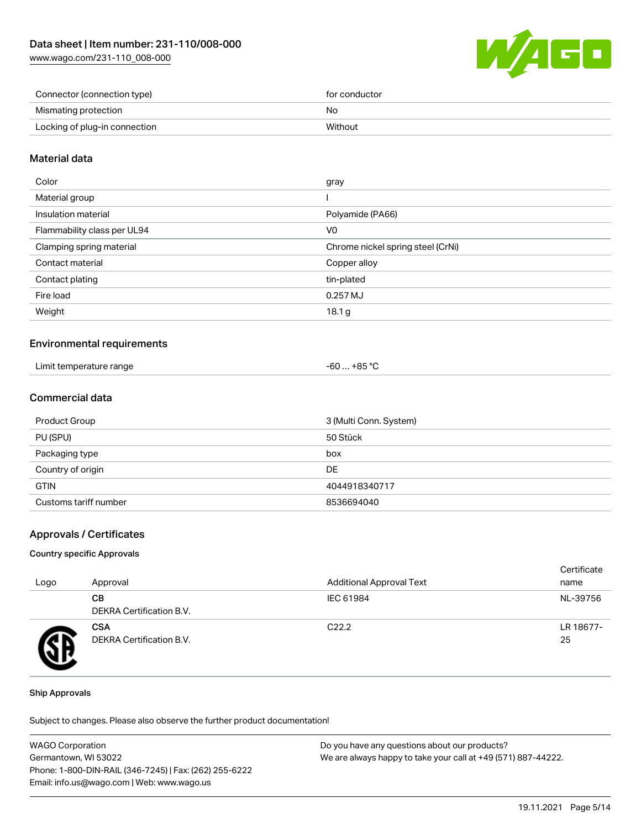[www.wago.com/231-110\\_008-000](http://www.wago.com/231-110_008-000)



| Connector (connection type)   | for conductor |
|-------------------------------|---------------|
| Mismating protection          | No            |
| Locking of plug-in connection | Without       |

## Material data

| Color                       | gray                              |
|-----------------------------|-----------------------------------|
| Material group              |                                   |
| Insulation material         | Polyamide (PA66)                  |
| Flammability class per UL94 | V <sub>0</sub>                    |
| Clamping spring material    | Chrome nickel spring steel (CrNi) |
| Contact material            | Copper alloy                      |
| Contact plating             | tin-plated                        |
| Fire load                   | 0.257 MJ                          |
| Weight                      | 18.1 g                            |
|                             |                                   |

### Environmental requirements

| Limit temperature range | -60  +85 °Ր |
|-------------------------|-------------|
|                         |             |

## Commercial data

| Product Group         | 3 (Multi Conn. System) |
|-----------------------|------------------------|
| PU (SPU)              | 50 Stück               |
| Packaging type        | box                    |
| Country of origin     | DE                     |
| <b>GTIN</b>           | 4044918340717          |
| Customs tariff number | 8536694040             |

### Approvals / Certificates

#### Country specific Approvals

| Logo | Approval                               | <b>Additional Approval Text</b> | Certificate<br>name |
|------|----------------------------------------|---------------------------------|---------------------|
|      | CВ<br><b>DEKRA Certification B.V.</b>  | IEC 61984                       | NL-39756            |
|      | <b>CSA</b><br>DEKRA Certification B.V. | C <sub>22.2</sub>               | LR 18677-<br>25     |

#### Ship Approvals

Subject to changes. Please also observe the further product documentation!

| <b>WAGO Corporation</b>                                | Do you have any questions about our products?                 |
|--------------------------------------------------------|---------------------------------------------------------------|
| Germantown, WI 53022                                   | We are always happy to take your call at +49 (571) 887-44222. |
| Phone: 1-800-DIN-RAIL (346-7245)   Fax: (262) 255-6222 |                                                               |
| Email: info.us@wago.com   Web: www.wago.us             |                                                               |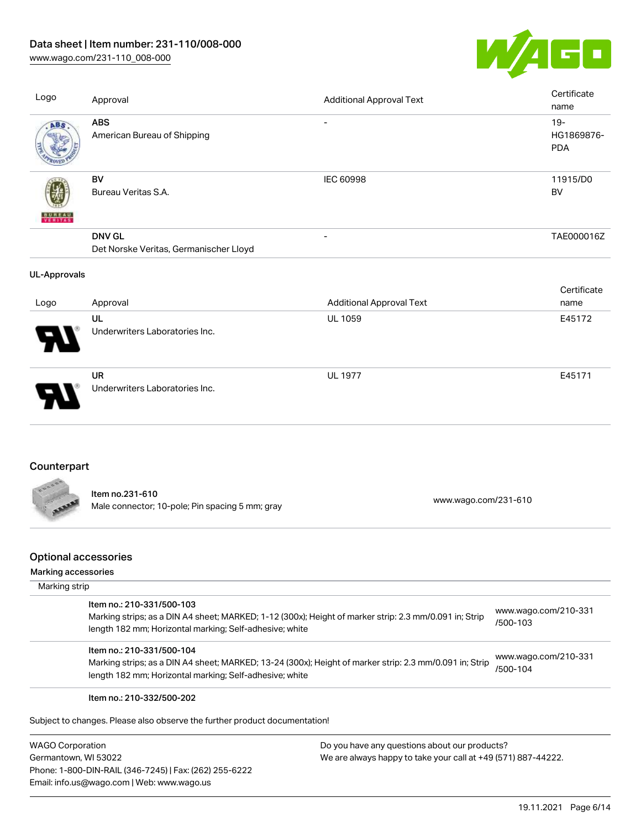## Data sheet | Item number: 231-110/008-000

[www.wago.com/231-110\\_008-000](http://www.wago.com/231-110_008-000)



| Logo                | Approval                                                | <b>Additional Approval Text</b> | Certificate<br>name                |
|---------------------|---------------------------------------------------------|---------------------------------|------------------------------------|
| ABS                 | <b>ABS</b><br>American Bureau of Shipping               | $\overline{\phantom{a}}$        | $19 -$<br>HG1869876-<br><b>PDA</b> |
| VERITAS             | BV<br>Bureau Veritas S.A.                               | IEC 60998                       | 11915/D0<br><b>BV</b>              |
|                     | <b>DNV GL</b><br>Det Norske Veritas, Germanischer Lloyd |                                 | TAE000016Z                         |
| <b>UL-Approvals</b> |                                                         |                                 |                                    |
|                     |                                                         |                                 | Certificate                        |
| Logo                | Approval                                                | <b>Additional Approval Text</b> | name                               |
|                     | UL<br>Underwriters Laboratories Inc.                    | <b>UL 1059</b>                  | E45172                             |
|                     | <b>UR</b><br>Underwriters Laboratories Inc.             | <b>UL 1977</b>                  | E45171                             |

| ovunun pur |
|------------|
|            |
|            |
|            |
|            |
|            |
|            |

**SEP** 

Item no.231-610 nem 10.251-610<br>Male connector; 10-pole; Pin spacing 5 mm; gray [www.wago.com/231-610](https://www.wago.com/231-610)

## Optional accessories

#### Marking accessories

| Marking strip                                                                                                                                                                                   |                                  |
|-------------------------------------------------------------------------------------------------------------------------------------------------------------------------------------------------|----------------------------------|
| Item no.: 210-331/500-103<br>Marking strips; as a DIN A4 sheet; MARKED; 1-12 (300x); Height of marker strip: 2.3 mm/0.091 in; Strip<br>length 182 mm; Horizontal marking; Self-adhesive; white  | www.wago.com/210-331<br>/500-103 |
| Item no.: 210-331/500-104<br>Marking strips; as a DIN A4 sheet; MARKED; 13-24 (300x); Height of marker strip: 2.3 mm/0.091 in; Strip<br>length 182 mm; Horizontal marking; Self-adhesive; white | www.wago.com/210-331<br>/500-104 |
| Item no.: 210-332/500-202                                                                                                                                                                       |                                  |
| Subject to changes. Please also observe the further product documentation!                                                                                                                      |                                  |

WAGO Corporation Germantown, WI 53022 Phone: 1-800-DIN-RAIL (346-7245) | Fax: (262) 255-6222 Email: info.us@wago.com | Web: www.wago.us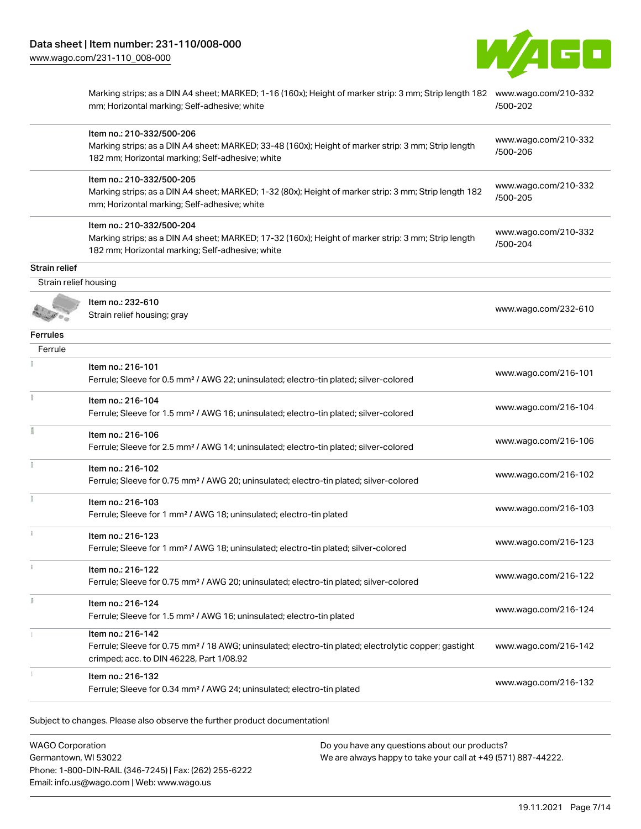

|                       | Marking strips; as a DIN A4 sheet; MARKED; 1-16 (160x); Height of marker strip: 3 mm; Strip length 182 www.wago.com/210-332<br>mm; Horizontal marking; Self-adhesive; white          | /500-202                         |
|-----------------------|--------------------------------------------------------------------------------------------------------------------------------------------------------------------------------------|----------------------------------|
|                       | Item no.: 210-332/500-206<br>Marking strips; as a DIN A4 sheet; MARKED; 33-48 (160x); Height of marker strip: 3 mm; Strip length<br>182 mm; Horizontal marking; Self-adhesive; white | www.wago.com/210-332<br>/500-206 |
|                       | Item no.: 210-332/500-205<br>Marking strips; as a DIN A4 sheet; MARKED; 1-32 (80x); Height of marker strip: 3 mm; Strip length 182<br>mm; Horizontal marking; Self-adhesive; white   | www.wago.com/210-332<br>/500-205 |
|                       | Item no.: 210-332/500-204<br>Marking strips; as a DIN A4 sheet; MARKED; 17-32 (160x); Height of marker strip: 3 mm; Strip length<br>182 mm; Horizontal marking; Self-adhesive; white | www.wago.com/210-332<br>/500-204 |
| Strain relief         |                                                                                                                                                                                      |                                  |
| Strain relief housing |                                                                                                                                                                                      |                                  |
|                       | Item no.: 232-610<br>Strain relief housing; gray                                                                                                                                     | www.wago.com/232-610             |
| <b>Ferrules</b>       |                                                                                                                                                                                      |                                  |
| Ferrule               |                                                                                                                                                                                      |                                  |
|                       | Item no.: 216-101<br>Ferrule; Sleeve for 0.5 mm <sup>2</sup> / AWG 22; uninsulated; electro-tin plated; silver-colored                                                               | www.wago.com/216-101             |
|                       | Item no.: 216-104<br>Ferrule; Sleeve for 1.5 mm <sup>2</sup> / AWG 16; uninsulated; electro-tin plated; silver-colored                                                               | www.wago.com/216-104             |
|                       | Item no.: 216-106<br>Ferrule; Sleeve for 2.5 mm <sup>2</sup> / AWG 14; uninsulated; electro-tin plated; silver-colored                                                               | www.wago.com/216-106             |
|                       | Item no.: 216-102<br>Ferrule; Sleeve for 0.75 mm <sup>2</sup> / AWG 20; uninsulated; electro-tin plated; silver-colored                                                              | www.wago.com/216-102             |
|                       | Item no.: 216-103<br>Ferrule; Sleeve for 1 mm <sup>2</sup> / AWG 18; uninsulated; electro-tin plated                                                                                 | www.wago.com/216-103             |
| î.                    | Item no.: 216-123<br>Ferrule; Sleeve for 1 mm <sup>2</sup> / AWG 18; uninsulated; electro-tin plated; silver-colored                                                                 | www.wago.com/216-123             |
|                       | Item no.: 216-122<br>Ferrule; Sleeve for 0.75 mm <sup>2</sup> / AWG 20; uninsulated; electro-tin plated; silver-colored                                                              | www.wago.com/216-122             |
|                       | Item no.: 216-124<br>Ferrule; Sleeve for 1.5 mm <sup>2</sup> / AWG 16; uninsulated; electro-tin plated                                                                               | www.wago.com/216-124             |
|                       | Item no.: 216-142<br>Ferrule; Sleeve for 0.75 mm <sup>2</sup> / 18 AWG; uninsulated; electro-tin plated; electrolytic copper; gastight<br>crimped; acc. to DIN 46228, Part 1/08.92   | www.wago.com/216-142             |
|                       | Item no.: 216-132<br>Ferrule; Sleeve for 0.34 mm <sup>2</sup> / AWG 24; uninsulated; electro-tin plated                                                                              | www.wago.com/216-132             |
|                       |                                                                                                                                                                                      |                                  |

Subject to changes. Please also observe the further product documentation!

WAGO Corporation Germantown, WI 53022 Phone: 1-800-DIN-RAIL (346-7245) | Fax: (262) 255-6222 Email: info.us@wago.com | Web: www.wago.us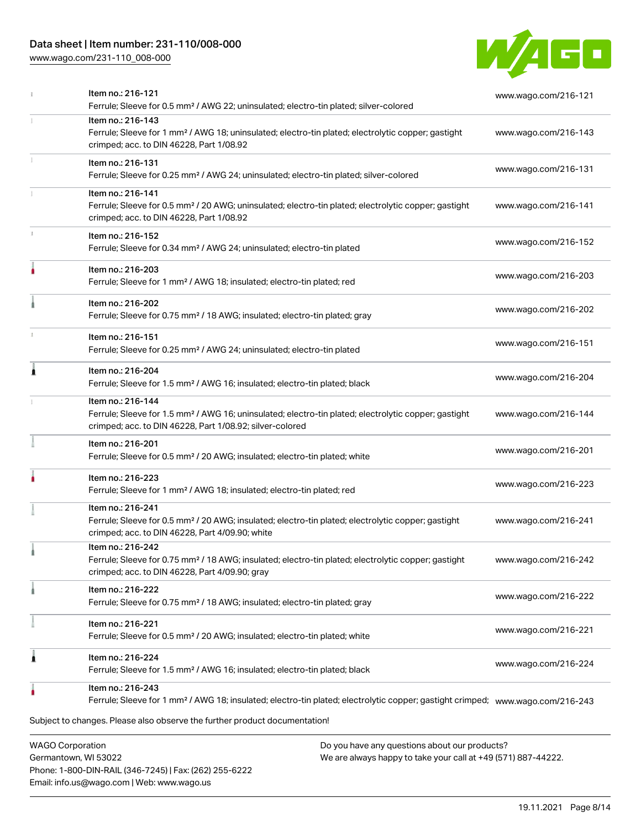## Data sheet | Item number: 231-110/008-000

[www.wago.com/231-110\\_008-000](http://www.wago.com/231-110_008-000)



|   | <b>WAGO Corporation</b><br>Do you have any questions about our products?                                                                                                                                                 |                      |
|---|--------------------------------------------------------------------------------------------------------------------------------------------------------------------------------------------------------------------------|----------------------|
|   | Ferrule; Sleeve for 1 mm <sup>2</sup> / AWG 18; insulated; electro-tin plated; electrolytic copper; gastight crimped; www.waqo.com/216-243<br>Subject to changes. Please also observe the further product documentation! |                      |
|   | Item no.: 216-243                                                                                                                                                                                                        |                      |
| ۸ | Item no.: 216-224<br>Ferrule; Sleeve for 1.5 mm <sup>2</sup> / AWG 16; insulated; electro-tin plated; black                                                                                                              | www.wago.com/216-224 |
|   | Item no.: 216-221<br>Ferrule; Sleeve for 0.5 mm <sup>2</sup> / 20 AWG; insulated; electro-tin plated; white                                                                                                              | www.wago.com/216-221 |
|   | Item no.: 216-222<br>Ferrule; Sleeve for 0.75 mm <sup>2</sup> / 18 AWG; insulated; electro-tin plated; gray                                                                                                              | www.wago.com/216-222 |
|   | Item no.: 216-242<br>Ferrule; Sleeve for 0.75 mm <sup>2</sup> / 18 AWG; insulated; electro-tin plated; electrolytic copper; gastight<br>crimped; acc. to DIN 46228, Part 4/09.90; gray                                   | www.wago.com/216-242 |
|   | Item no.: 216-241<br>Ferrule; Sleeve for 0.5 mm <sup>2</sup> / 20 AWG; insulated; electro-tin plated; electrolytic copper; gastight<br>crimped; acc. to DIN 46228, Part 4/09.90; white                                   | www.wago.com/216-241 |
|   | Item no.: 216-223<br>Ferrule; Sleeve for 1 mm <sup>2</sup> / AWG 18; insulated; electro-tin plated; red                                                                                                                  | www.wago.com/216-223 |
|   | Item no.: 216-201<br>Ferrule; Sleeve for 0.5 mm <sup>2</sup> / 20 AWG; insulated; electro-tin plated; white                                                                                                              | www.wago.com/216-201 |
|   | Item no.: 216-144<br>Ferrule; Sleeve for 1.5 mm <sup>2</sup> / AWG 16; uninsulated; electro-tin plated; electrolytic copper; gastight<br>crimped; acc. to DIN 46228, Part 1/08.92; silver-colored                        | www.wago.com/216-144 |
| 1 | Item no.: 216-204<br>Ferrule; Sleeve for 1.5 mm <sup>2</sup> / AWG 16; insulated; electro-tin plated; black                                                                                                              | www.wago.com/216-204 |
|   | Item no.: 216-151<br>Ferrule; Sleeve for 0.25 mm <sup>2</sup> / AWG 24; uninsulated; electro-tin plated                                                                                                                  | www.wago.com/216-151 |
|   | Item no.: 216-202<br>Ferrule; Sleeve for 0.75 mm <sup>2</sup> / 18 AWG; insulated; electro-tin plated; gray                                                                                                              | www.wago.com/216-202 |
|   | Item no.: 216-203<br>Ferrule; Sleeve for 1 mm <sup>2</sup> / AWG 18; insulated; electro-tin plated; red                                                                                                                  | www.wago.com/216-203 |
|   | Item no.: 216-152<br>Ferrule; Sleeve for 0.34 mm <sup>2</sup> / AWG 24; uninsulated; electro-tin plated                                                                                                                  | www.wago.com/216-152 |
|   | Item no.: 216-141<br>Ferrule; Sleeve for 0.5 mm <sup>2</sup> / 20 AWG; uninsulated; electro-tin plated; electrolytic copper; gastight<br>crimped; acc. to DIN 46228, Part 1/08.92                                        | www.wago.com/216-141 |
|   | Item no.: 216-131<br>Ferrule; Sleeve for 0.25 mm <sup>2</sup> / AWG 24; uninsulated; electro-tin plated; silver-colored                                                                                                  | www.wago.com/216-131 |
|   | Item no.: 216-143<br>Ferrule; Sleeve for 1 mm <sup>2</sup> / AWG 18; uninsulated; electro-tin plated; electrolytic copper; gastight<br>crimped; acc. to DIN 46228, Part 1/08.92                                          | www.wago.com/216-143 |
|   | Item no.: 216-121<br>Ferrule; Sleeve for 0.5 mm <sup>2</sup> / AWG 22; uninsulated; electro-tin plated; silver-colored                                                                                                   | www.wago.com/216-121 |

Germantown, WI 53022 Phone: 1-800-DIN-RAIL (346-7245) | Fax: (262) 255-6222 Email: info.us@wago.com | Web: www.wago.us

We are always happy to take your call at +49 (571) 887-44222.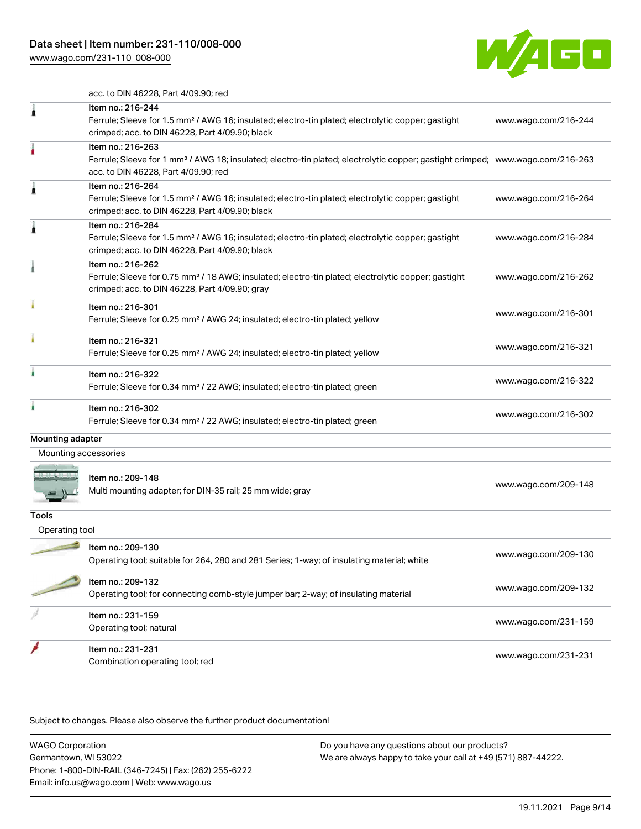[www.wago.com/231-110\\_008-000](http://www.wago.com/231-110_008-000)



acc. to DIN 46228, Part 4/09.90; red

| 1                    | Item no.: 216-244<br>Ferrule; Sleeve for 1.5 mm <sup>2</sup> / AWG 16; insulated; electro-tin plated; electrolytic copper; gastight<br>crimped; acc. to DIN 46228, Part 4/09.90; black                  | www.wago.com/216-244 |
|----------------------|---------------------------------------------------------------------------------------------------------------------------------------------------------------------------------------------------------|----------------------|
|                      | Item no.: 216-263<br>Ferrule; Sleeve for 1 mm <sup>2</sup> / AWG 18; insulated; electro-tin plated; electrolytic copper; gastight crimped; www.wago.com/216-263<br>acc. to DIN 46228, Part 4/09.90; red |                      |
| À                    | Item no.: 216-264<br>Ferrule; Sleeve for 1.5 mm <sup>2</sup> / AWG 16; insulated; electro-tin plated; electrolytic copper; gastight<br>crimped; acc. to DIN 46228, Part 4/09.90; black                  | www.wago.com/216-264 |
| ۸                    | Item no.: 216-284<br>Ferrule; Sleeve for 1.5 mm <sup>2</sup> / AWG 16; insulated; electro-tin plated; electrolytic copper; gastight<br>crimped; acc. to DIN 46228, Part 4/09.90; black                  | www.wago.com/216-284 |
|                      | Item no.: 216-262<br>Ferrule; Sleeve for 0.75 mm <sup>2</sup> / 18 AWG; insulated; electro-tin plated; electrolytic copper; gastight<br>crimped; acc. to DIN 46228, Part 4/09.90; gray                  | www.wago.com/216-262 |
|                      | Item no.: 216-301<br>Ferrule; Sleeve for 0.25 mm <sup>2</sup> / AWG 24; insulated; electro-tin plated; yellow                                                                                           | www.wago.com/216-301 |
|                      | Item no.: 216-321<br>Ferrule; Sleeve for 0.25 mm <sup>2</sup> / AWG 24; insulated; electro-tin plated; yellow                                                                                           | www.wago.com/216-321 |
| ì.                   | Item no.: 216-322<br>Ferrule; Sleeve for 0.34 mm <sup>2</sup> / 22 AWG; insulated; electro-tin plated; green                                                                                            | www.wago.com/216-322 |
| à.                   | Item no.: 216-302<br>Ferrule; Sleeve for 0.34 mm <sup>2</sup> / 22 AWG; insulated; electro-tin plated; green                                                                                            | www.wago.com/216-302 |
| Mounting adapter     |                                                                                                                                                                                                         |                      |
| Mounting accessories |                                                                                                                                                                                                         |                      |
|                      | Item no.: 209-148<br>Multi mounting adapter; for DIN-35 rail; 25 mm wide; gray                                                                                                                          | www.wago.com/209-148 |
| Tools                |                                                                                                                                                                                                         |                      |
| Operating tool       |                                                                                                                                                                                                         |                      |
|                      | Item no.: 209-130<br>Operating tool; suitable for 264, 280 and 281 Series; 1-way; of insulating material; white                                                                                         | www.wago.com/209-130 |
|                      | Item no.: 209-132<br>Operating tool; for connecting comb-style jumper bar; 2-way; of insulating material                                                                                                | www.wago.com/209-132 |
|                      | Item no.: 231-159<br>Operating tool; natural                                                                                                                                                            | www.wago.com/231-159 |
|                      | Item no.: 231-231<br>Combination operating tool; red                                                                                                                                                    | www.wago.com/231-231 |
|                      |                                                                                                                                                                                                         |                      |

Subject to changes. Please also observe the further product documentation!

WAGO Corporation Germantown, WI 53022 Phone: 1-800-DIN-RAIL (346-7245) | Fax: (262) 255-6222 Email: info.us@wago.com | Web: www.wago.us Do you have any questions about our products? We are always happy to take your call at +49 (571) 887-44222.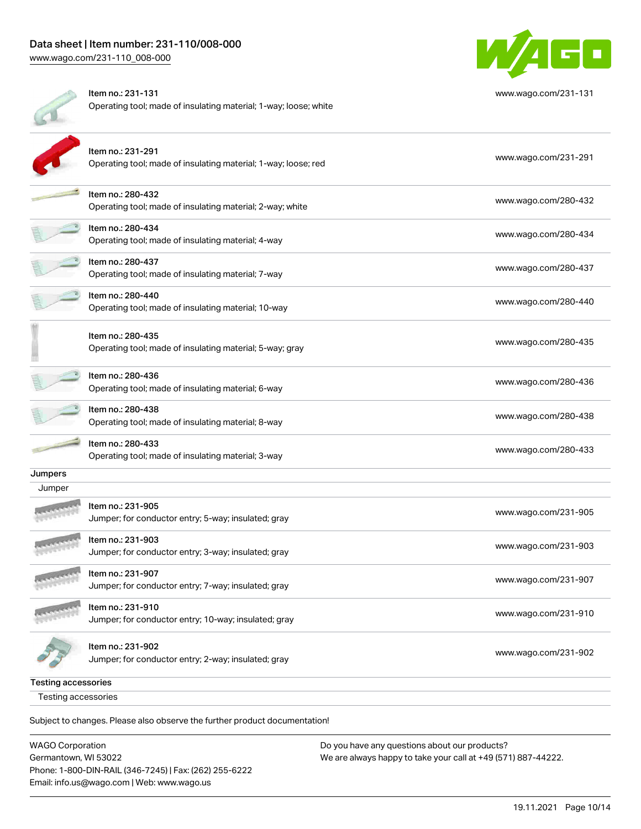

| Testing accessories |                                                                                       |                      |
|---------------------|---------------------------------------------------------------------------------------|----------------------|
| Testing accessories |                                                                                       |                      |
|                     | Item no.: 231-902<br>Jumper; for conductor entry; 2-way; insulated; gray              | www.wago.com/231-902 |
|                     | Item no.: 231-910<br>Jumper; for conductor entry; 10-way; insulated; gray             | www.wago.com/231-910 |
|                     | Item no.: 231-907<br>Jumper; for conductor entry; 7-way; insulated; gray              | www.wago.com/231-907 |
|                     | Item no.: 231-903<br>Jumper; for conductor entry; 3-way; insulated; gray              | www.wago.com/231-903 |
|                     | Item no.: 231-905<br>Jumper; for conductor entry; 5-way; insulated; gray              | www.wago.com/231-905 |
| Jumper              |                                                                                       |                      |
| Jumpers             |                                                                                       |                      |
|                     | Item no.: 280-433<br>Operating tool; made of insulating material; 3-way               | www.wago.com/280-433 |
|                     | Item no.: 280-438<br>Operating tool; made of insulating material; 8-way               | www.wago.com/280-438 |
|                     | Item no.: 280-436<br>Operating tool; made of insulating material; 6-way               | www.wago.com/280-436 |
|                     | Item no.: 280-435<br>Operating tool; made of insulating material; 5-way; gray         | www.wago.com/280-435 |
|                     | Item no.: 280-440<br>Operating tool; made of insulating material; 10-way              | www.wago.com/280-440 |
|                     | Item no.: 280-437<br>Operating tool; made of insulating material; 7-way               | www.wago.com/280-437 |
|                     | Item no.: 280-434<br>Operating tool; made of insulating material; 4-way               | www.wago.com/280-434 |
|                     | Item no.: 280-432<br>Operating tool; made of insulating material; 2-way; white        | www.wago.com/280-432 |
|                     | Item no.: 231-291<br>Operating tool; made of insulating material; 1-way; loose; red   | www.wago.com/231-291 |
|                     | Item no.: 231-131<br>Operating tool; made of insulating material; 1-way; loose; white | www.wago.com/231-131 |

Subject to changes. Please also observe the further product documentation!

| WAGO Corporation                                       | Do you have any questions about our products?                 |
|--------------------------------------------------------|---------------------------------------------------------------|
| Germantown, WI 53022                                   | We are always happy to take your call at +49 (571) 887-44222. |
| Phone: 1-800-DIN-RAIL (346-7245)   Fax: (262) 255-6222 |                                                               |
| Email: info.us@wago.com   Web: www.wago.us             |                                                               |

19.11.2021 Page 10/14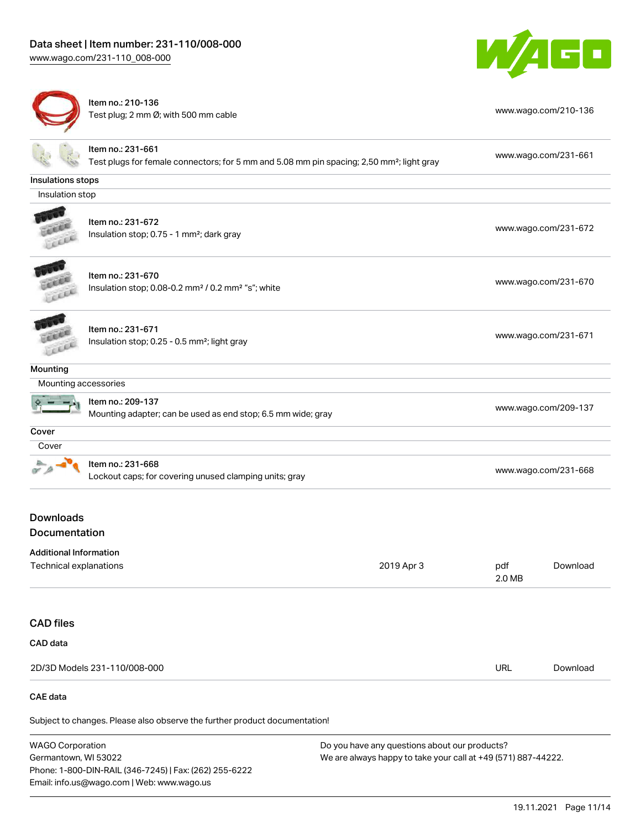# Data sheet | Item number: 231-110/008-000

[www.wago.com/231-110\\_008-000](http://www.wago.com/231-110_008-000)

Germantown, WI 53022

Phone: 1-800-DIN-RAIL (346-7245) | Fax: (262) 255-6222

Email: info.us@wago.com | Web: www.wago.us



|                                   | Item no.: 210-136<br>Test plug; 2 mm Ø; with 500 mm cable                                                                  |                                               |                      | www.wago.com/210-136 |  |
|-----------------------------------|----------------------------------------------------------------------------------------------------------------------------|-----------------------------------------------|----------------------|----------------------|--|
|                                   | Item no.: 231-661<br>Test plugs for female connectors; for 5 mm and 5.08 mm pin spacing; 2,50 mm <sup>2</sup> ; light gray |                                               |                      | www.wago.com/231-661 |  |
| Insulations stops                 |                                                                                                                            |                                               |                      |                      |  |
| Insulation stop                   |                                                                                                                            |                                               |                      |                      |  |
|                                   | Item no.: 231-672<br>Insulation stop; 0.75 - 1 mm <sup>2</sup> ; dark gray                                                 |                                               |                      | www.wago.com/231-672 |  |
|                                   | Item no.: 231-670<br>Insulation stop; 0.08-0.2 mm <sup>2</sup> / 0.2 mm <sup>2</sup> "s"; white                            |                                               | www.wago.com/231-670 |                      |  |
|                                   | Item no.: 231-671<br>Insulation stop; 0.25 - 0.5 mm <sup>2</sup> ; light gray                                              |                                               | www.wago.com/231-671 |                      |  |
| <b>Mounting</b>                   |                                                                                                                            |                                               |                      |                      |  |
| Mounting accessories              |                                                                                                                            |                                               |                      |                      |  |
|                                   | Item no.: 209-137<br>Mounting adapter; can be used as end stop; 6.5 mm wide; gray                                          |                                               |                      | www.wago.com/209-137 |  |
| Cover                             |                                                                                                                            |                                               |                      |                      |  |
| Cover                             |                                                                                                                            |                                               |                      |                      |  |
|                                   | Item no.: 231-668<br>Lockout caps; for covering unused clamping units; gray                                                |                                               | www.wago.com/231-668 |                      |  |
| <b>Downloads</b><br>Documentation |                                                                                                                            |                                               |                      |                      |  |
| <b>Additional Information</b>     |                                                                                                                            |                                               |                      |                      |  |
| Technical explanations            |                                                                                                                            | 2019 Apr 3                                    | pdf<br>2.0 MB        | Download             |  |
| <b>CAD files</b>                  |                                                                                                                            |                                               |                      |                      |  |
| CAD data                          |                                                                                                                            |                                               |                      |                      |  |
|                                   | 2D/3D Models 231-110/008-000                                                                                               |                                               | <b>URL</b>           | Download             |  |
| <b>CAE</b> data                   |                                                                                                                            |                                               |                      |                      |  |
|                                   | Subject to changes. Please also observe the further product documentation!                                                 |                                               |                      |                      |  |
| <b>WAGO Corporation</b>           |                                                                                                                            | Do you have any questions about our products? |                      |                      |  |

19.11.2021 Page 11/14

We are always happy to take your call at +49 (571) 887-44222.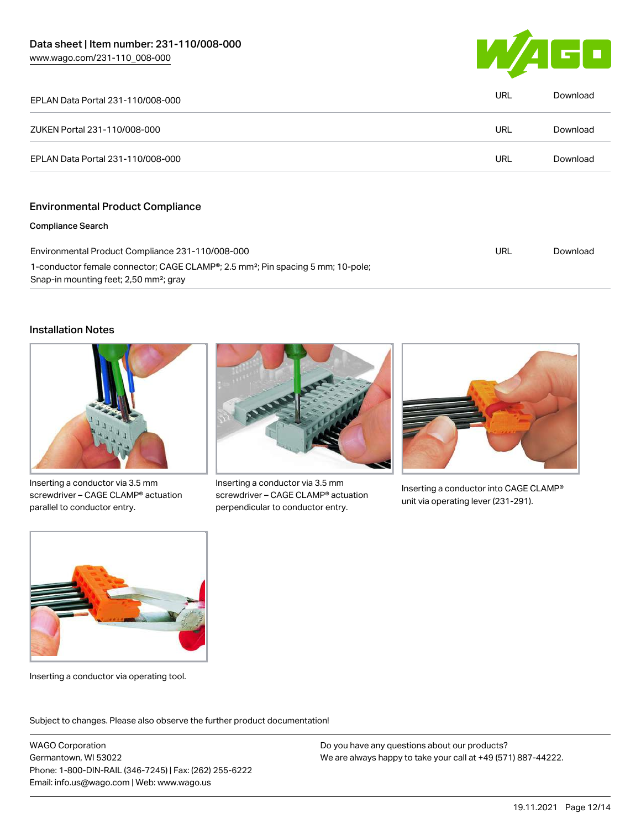

| EPLAN Data Portal 231-110/008-000                                                                                                                              | URL | Download |
|----------------------------------------------------------------------------------------------------------------------------------------------------------------|-----|----------|
| ZUKEN Portal 231-110/008-000                                                                                                                                   | URL | Download |
| EPLAN Data Portal 231-110/008-000                                                                                                                              | URL | Download |
| <b>Environmental Product Compliance</b>                                                                                                                        |     |          |
| <b>Compliance Search</b>                                                                                                                                       |     |          |
| Environmental Product Compliance 231-110/008-000                                                                                                               |     | Download |
| 1-conductor female connector; CAGE CLAMP <sup>®</sup> ; 2.5 mm <sup>2</sup> ; Pin spacing 5 mm; 10-pole;<br>Snap-in mounting feet; 2,50 mm <sup>2</sup> ; gray |     |          |

### Installation Notes



Inserting a conductor via 3.5 mm screwdriver – CAGE CLAMP® actuation parallel to conductor entry.



Inserting a conductor via 3.5 mm screwdriver – CAGE CLAMP® actuation perpendicular to conductor entry.



Inserting a conductor into CAGE CLAMP® unit via operating lever (231-291).



Inserting a conductor via operating tool.

Subject to changes. Please also observe the further product documentation!

WAGO Corporation Germantown, WI 53022 Phone: 1-800-DIN-RAIL (346-7245) | Fax: (262) 255-6222 Email: info.us@wago.com | Web: www.wago.us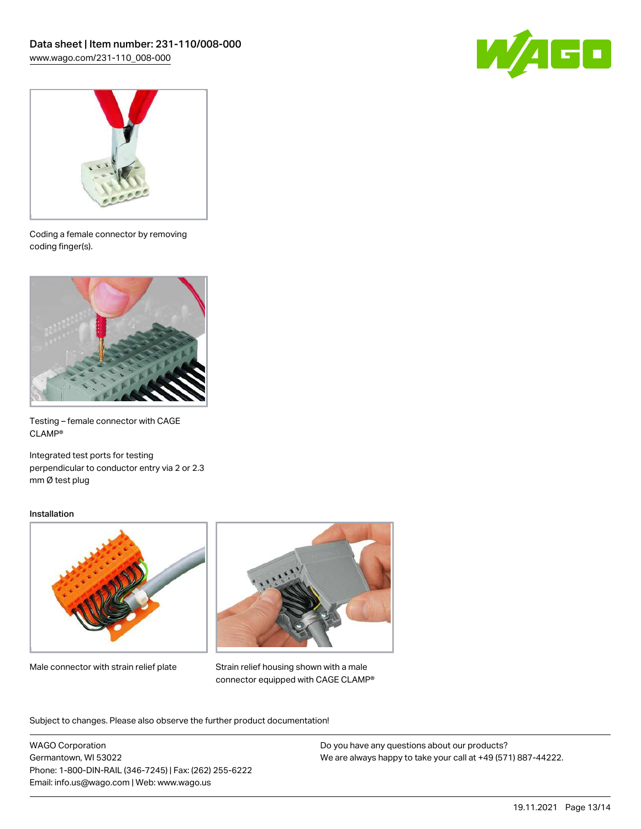



Coding a female connector by removing coding finger(s).



Testing – female connector with CAGE CLAMP®

Integrated test ports for testing perpendicular to conductor entry via 2 or 2.3 mm Ø test plug

#### Installation



Male connector with strain relief plate



Strain relief housing shown with a male connector equipped with CAGE CLAMP®

Subject to changes. Please also observe the further product documentation!

WAGO Corporation Germantown, WI 53022 Phone: 1-800-DIN-RAIL (346-7245) | Fax: (262) 255-6222 Email: info.us@wago.com | Web: www.wago.us